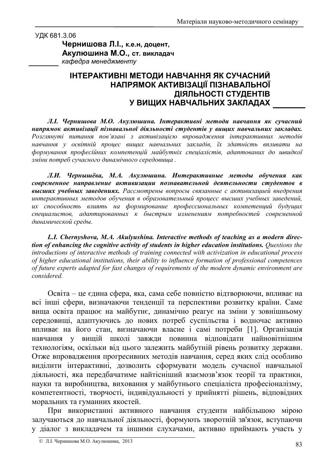УДК 681.3.06

Чернишова Л.І., к.е.н, доцент, Акулюшина М.О., ст. викладач кафедра менеджменту

## ІНТЕРАКТИВНІ МЕТОДИ НАВЧАННЯ ЯК СУЧАСНИЙ НАПРЯМОК АКТИВІЗАЦІЇ ПІЗНАВАЛЬНОЇ ДІЯЛЬНОСТІ СТУДЕНТІВ У ВИЩИХ НАВЧАЛЬНИХ ЗАКЛАДАХ

Л.І. Чернишова М.О. Акулюшина. Інтерактивні методи навчання як сучасний напрямок активізації пізнавальної діяльності студентів у вищих навчальних закладах. Розглянуті питання пов'язані з активізацією впровадження інтерактивних методів навчання у освітній процес вищих навчальних закладів, їх здатність впливати на формування професійних компетенцій майбутніх спеціалістів, адаптованих до швидкої зміни потреб сучасного динамічного середовища.

Л.И. Чернышёва, М.А. Акулюшина. Интерактивные методы обучения как современное направление активизации познавательной деятельности студентов в высших учебных заведениях. Рассмотрены вопросы связанные с активизацией внедрения интерактивных методов обучения в образовательный процесс высших учебных заведений, их способность влиять на формирование профессиональных компетенций будущих специалистов, адаптированных к быстрым изменениям потребностей современной динамической среды.

L.I. Chernyshova, M.A. Akulyushina. Interactive methods of teaching as a modern direction of enhancing the cognitive activity of students in higher education institutions. Questions the introductions of interactive methods of training connected with activization in educational process of higher educational institutions, their ability to influence formation of professional competences of future experts adapted for fast changes of requirements of the modern dynamic environment are considered

Освіта - це єдина сфера, яка, сама себе повністю відтворюючи, впливає на всі інші сфери, визначаючи тенденції та перспективи розвитку країни. Саме вища освіта працює на майбутнє, динамічно реагує на зміни у зовнішньому середовищі, адаптуючись до нових потреб суспільства і водночас активно впливає на його стан, визначаючи власне і самі потреби [1]. Організація навчання у вищій школі завжди повинна відповідати найновітнішим технологіям, оскільки від цього залежить майбутній рівень розвитку держави. Отже впровадження прогресивних методів навчання, серед яких слід особливо виділити інтерактивні, дозволить сформувати модель сучасної навчальної діяльності, яка передбачатиме найтісніший взаємозв'язок теорії та практики, науки та виробництва, виховання у майбутнього спеціаліста професіоналізму, компетентності, творчості, індивідуальності у прийнятті рішень, відповідних моральних та гуманних якостей.

При використанні активного навчання студенти найбільшою мірою залучаються до навчальної діяльності, формують зворотній зв'язок, вступаючи у діалог з викладачем та іншими слухачами, активно приймають участь у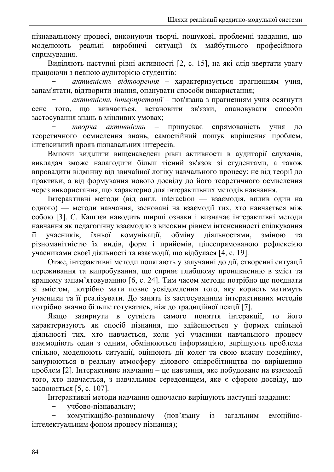пізнавальному процесі, виконуючи творчі, пошукові, проблемні завдання, що реальні виробничі ситуації їх майбутнього професійного моделюють спрямування.

Виділяють наступні рівні активності [2, с. 15], на які слід звертати увагу працюючи з певною аудиторією студентів:

активність відтворення - характеризується прагненням учня, запам'ятати, відтворити знання, опанувати способи використання;

активність інтерпретації - пов'язана з прагненням учня осягнути зв'язки, вивчається, встановити опановувати способи того, що сенс застосування знань в мінливих умовах;

творча активність припускає спрямованість **RHPV**  $\equiv$ ДΟ теоретичного осмислення знань, самостійний пошук вирішення проблем, інтенсивний прояв пізнавальних інтересів.

Вміючи виділити вищенаведені рівні активності в аудиторії слухачів, викладач зможе налагодити більш тісний зв'язок зі студентами, а також впровадити відмінну від звичайної логіку навчального процесу: не від теорії до практики, а від формування нового досвіду до його теоретичного осмислення через використання, що характерно для інтерактивних методів навчання.

Інтерактивні методи (від англ. interaction — взаємодія, вплив один на одного) — методи навчання, засновані на взаємодії тих, хто навчається між собою [3]. С. Кашлєв наводить ширші ознаки і визначає інтерактивні методи навчання як педагогічну взаємодію з високим рівнем інтенсивності спілкування комунікації, обміну учасників. їхньої діяльностями. зміною  $\overline{11}$ та різноманітністю їх видів, форм і прийомів, цілеспрямованою рефлексією учасниками своєї діяльності та взаємодії, що відбулася [4, с. 19].

Отже, інтерактивні методи полягають у залучанні до дії, створенні ситуації переживання та випробування, що сприяє глибшому проникненню в зміст та кращому запам'ятовуванню [6, с. 24]. Тим часом методи потрібно ще поєднати зі змістом, потрібно мати повне усвідомлення того, яку користь матимуть учасники та її реалізувати. До занять із застосуванням інтерактивних методів потрібно значно більше готуватись, ніж до традиційної лекції [7].

Якшо зазирнути в сутність самого поняття інтеракції, то його характеризують як спосіб пізнання, що здійснюється у формах спільної діяльності тих, хто навчається, коли усі учасники навчального процесу взаємодіють один з одним, обмінюються інформацією, вирішують проблеми спільно, моделюють ситуації, оцінюють дії колег та свою власну поведінку, занурюються в реальну атмосферу ділового співробітництва по вирішенню проблем [2]. Інтерактивне навчання – це навчання, яке побудоване на взаємодії того, хто навчається, з навчальним середовищем, яке є сферою досвіду, що засвоюється [5, с. 107].

Інтерактивні методи навчання одночасно вирішують наступні завдання:

учбово-пізнавальну;

комунікаційо-розвиваючу (пов'язану  $i<sub>3</sub>$ емонійнозагальним інтелектуальним фоном процесу пізнання);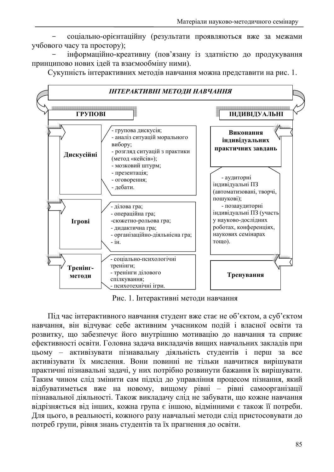соціально-орієнтаційну (результати проявляються вже за межами учбового часу та простору);

інформаційно-креативну (пов'язану із здатністю до продукування принципово нових ідей та взаємообміну ними).

Сукупність інтерактивних методів навчання можна представити на рис. 1.



Рис. 1. Інтерактивні методи навчання

Під час інтерактивного навчання студент вже стає не об'єктом, а суб'єктом навчання, він відчуває себе активним учасником подій і власної освіти та розвитку, що забезпечує його внутрішню мотивацію до навчання та сприяє ефективності освіти. Головна задача викладачів вищих навчальних закладів при цьому - активізувати пізнавальну діяльність студентів і перш за все активізувати їх мислення. Вони повинні не тільки навчитися вирішувати практичні пізнавальні задачі, у них потрібно розвинути бажання їх вирішувати. Таким чином слід змінити сам підхід до управління процесом пізнання, який відбуватиметься вже на новому, вищому рівні - рівні самоорганізації пізнавальної діяльності. Також викладачу слід не забувати, що кожне навчання відрізняється від інших, кожна група є іншою, відмінними є також її потреби. Для цього, в реальності, кожного разу навчальні методи слід пристосовувати до потреб групи, рівня знань студентів та їх прагнення до освіти.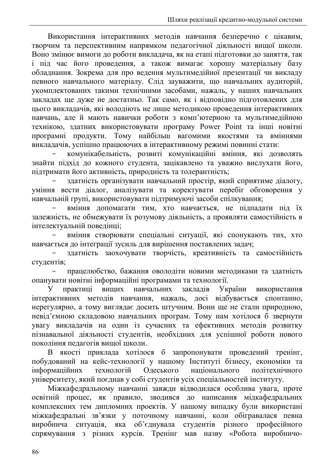Використання інтерактивних методів навчання безперечно є цікавим, творчим та перспективним напрямком педагогічної діяльності вищої школи. Воно змінює вимоги до роботи викладача, як на етапі підготовки до заняття, так і під час його проведення, а також вимагає хорошу матеріальну базу обладнання. Зокрема для про ведення мультимедійної презентації чи викладу певного навчального матеріалу. Слід зауважити, що навчальних аудиторій, укомплектованих такими технічними засобами, нажаль, у наших навчальних закладах ще дуже не достатньо. Так само, як і відповідно підготовлених для цього викладачів, які володіють не лише методикою проведення інтерактивних навчань, але й мають навички роботи з комп'ютерною та мультимедійною технікою, здатних використовувати програму Power Point та інші новітні програмні продукти. Тому найбільш вагомими якостями та вміннями викладачів, успішно працюючих в інтерактивному режимі повинні стати:

комунікабельність, розвиті комунікаційні вміння, які дозволять знайти підхід до кожного студента, зацікавлено та уважно вислухати його, підтримати його активність, природність та толерантність;

здатність організувати навчальний простір, який сприятиме діалогу, уміння вести діалог, аналізувати та коректувати перебіг обговорення у навчальній групі, використовувати підтримуючі засоби спілкування;

вміння допомагати тим, хто навчається, не підпадати під їх залежність, не обмежувати їх розумову діяльність, а проявляти самостійність в інтелектуальній повелінці:

вміння створювати спеціальні ситуації, які спонукають тих, хто навчається до інтеграції зусиль для вирішення поставлених задач;

здатність заохочувати творчість, креативність та самостійність студентів:

працелюбство, бажання оволодіти новими методиками та здатність опанувати новітні інформаційні програмами та технології.

навчальних У практиці вищих заклалів України використання інтерактивних методів навчання, нажаль, досі відбувається спонтанно, нерегулярно, а тому виглядає досить штучним. Вони ще не стали природною, невід'ємною складовою навчальних програм. Тому нам хотілося б звернути увагу викладачів на один із сучасних та ефективних методів розвитку пізнавальної діяльності студентів, необхідних для успішної роботи нового покоління педагогів вищої школи.

В якості приклада хотілося б запропонувати проведений тренінг, побудований на кейс-технології у нашому Інституті бізнесу, економіки та інформаційних технологій Одеського національного політехнічного університету, який поєднав у собі студентів усіх спеціальностей інституту.

Міжкафедральному навчанні завжди відводилася особлива увага, проте освітній процес, як правило, зводився до написання мідкафедральних комплексних тем дипломних проектів. У нашому випадку були використані міжкафедральні зв'язки у поточному навчанні, коли обігравалася певна виробнича ситуація, яка об'єднувала студентів різного професійного спрямування з різних курсів. Тренінг мав назву «Робота виробничо-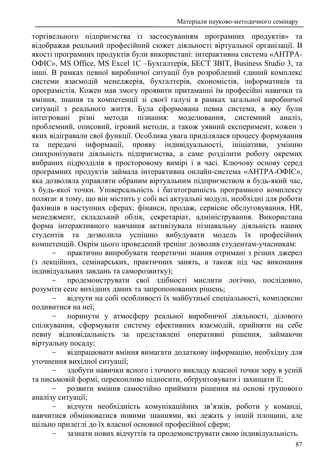торгівельного підприємства із застосуванням програмних продуктів» та відображав реальний професійний сюжет діяльності віртуальної організації. В якості програмних продуктів були використані: інтерактивна система «АНТРА-ОФІС», MS Office, MS Excel 1С - Бухгалтерія, БЕСТ ЗВІТ, Business Studio 3, та інші. В рамках певної виробничої ситуації був розроблений єдиний комплекс системи взаємодій менеджерів, бухгалтерів, економістів, інформатиків та програмістів. Кожен мав змогу проявити притаманні їм професійні навички та вміння, знання та компетенції зі своєї галузі в рамках загальної виробничої ситуації з реального життя. Була сформована певна система, в яку були інтегровані різні методи пізнання: моделювання, системний аналіз. проблемний, описовий, ігровий методи, а також уявний експеримент, кожен з яких відігравали свої функції. Особлива увага приділялася процесу формування перелачі інформації. прояву індивідуальності. ініціативи, та умінню синхронізувати діяльність підприємства, а саме розділити роботу окремих вибраних підрозділів в просторовому вимірі і в часі. Ключову основу серед програмних продуктів займала інтерактивна онлайн-система «АНТРА-ОФІС», яка дозволяла управляти обраним віртуальним підприємством в будь-який час. з будь-якої точки. Універсальність і багатогранність програмного комплексу полягає в тому, що він містить у собі всі актуальні модулі, необхідні для роботи фахівців в наступних сферах: фінанси, продаж, сервісне обслуговування, НR, менеджмент, складський облік, секретаріат, адміністрування. Використана форма інтерактивного навчання активізувала пізнавальну діяльність наших студентів та дозволила успішно вибудувати модель їх професійних компетенцій. Окрім цього проведений тренінг дозволив студентам-учасникам:

практично випробувати теоретичні знання отримані з різних джерел (з лекційних, семінарських, практичних занять, а також під час виконання індивідуальних завдань та саморозвитку);

продемонструвати свої злібності мислити логічно, послідовно, розуміти сенс вихідних даних та запропонованих рішень;

відчути на собі особливості їх майбутньої спеціальності, комплексно подивитися на неї;

поринути у атмосферу реальної виробничої діяльності, ділового спілкування, сформувати систему ефективних взаємодій, прийняти на себе певну відповідальність за представлені оперативні рішення, займаючи віртуальну посаду;

відпрацювати вміння вимагати додаткову інформацію, необхідну для уточнення вихідної ситуації:

здобути навички ясного і точного викладу власної точки зору в усній та письмовій формі, переконливо підносити, обґрунтовувати і захищати її;

розвити вміння самостійно приймати рішення на основі групового аналізу ситуації:

відчути необхідність комунікаційних зв'язків, роботи у команді, навчитися обмінюватися новими знаннями, які лежать у іншій площині, але щільно прилеглі до їх власної основної професійної сфери;

зазнати нових відчуттів та продемонструвати свою індивідуальність.